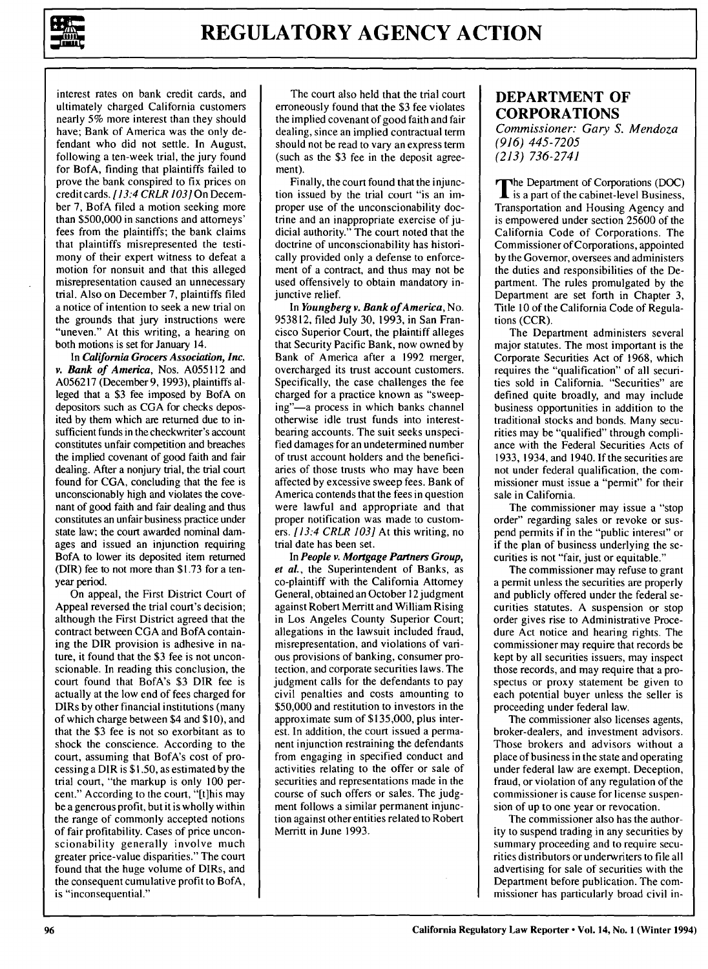

interest rates on bank credit cards, and ultimately charged California customers nearly **5%** more interest than they should have; Bank of America was the only defendant who did not settle. In August, following a ten-week trial, the jury found for BofA, finding that plaintiffs failed to prove the bank conspired to fix prices on creditcards. *[13:4 CRLR 103]* On December 7, BofA filed a motion seeking more than \$500,000 in sanctions and attorneys' fees from the plaintiffs; the bank claims that plaintiffs misrepresented the testimony of their expert witness to defeat a motion for nonsuit and that this alleged misrepresentation caused an unnecessary trial. Also on December 7, plaintiffs filed a notice of intention to seek a new trial on the grounds that jury instructions were "uneven." At this writing, a hearing on both motions is set for January 14.

In *California Grocers Association, Inc. v. Bank of America,* Nos. **A055112** and **A056217** (December **9, 1993),** plaintiffs alleged that a **\$3** fee imposed **by** BofA on depositors such as **CGA** for checks deposited **by** them which are returned due to insufficient funds in the checkwriter's account constitutes unfair competition and breaches the implied covenant of good faith and fair dealing. After a nonjury trial, the trial court found for **CGA,** concluding that the fee is unconscionably high and violates the covenant of good faith and fair dealing and thus constitutes an unfair business practice under state law; the court awarded nominal damages and issued an injunction requiring BofA to lower its deposited item returned (DIR) fee to not more than **\$1.73** for a tenyear period.

On appeal, the First District Court of Appeal reversed the trial court's decision; although the First District agreed that the contract between CGA and BofA containing the DIR provision is adhesive in nature, it found that the \$3 fee is not unconscionable. In reading this conclusion, the court found that BofA's \$3 DIR fee is actually at the low end of fees charged for DIRs by other financial institutions (many of which charge between \$4 and \$10), and that the \$3 fee is not so exorbitant as to shock the conscience. According to the court, assuming that BofA's cost of processing a DIR is \$1.50, as estimated by the trial court, "the markup is only 100 percent." According to the court, "[t]his may be a generous profit, but it is wholly within the range of commonly accepted notions of fair profitability. Cases of price unconscionability generally involve much greater price-value disparities." The court found that the huge volume of DIRs, and the consequent cumulative profit to BofA, is "inconsequential."

The court also held that the trial court erroneously found that the \$3 fee violates the implied covenant of good faith and fair dealing, since an implied contractual term should not be read to vary an express term (such as the \$3 fee in the deposit agreement).

Finally, the court found that the injunction issued by the trial court "is an improper use of the unconscionability doctrine and an inappropriate exercise of judicial authority." The court noted that the doctrine of unconscionability has historically provided only a defense to enforcement of a contract, and thus may not be used offensively to obtain mandatory injunctive relief.

In *Youngberg v. Bank ofAmerica,* No. 953812, filed July 30, 1993, in San Francisco Superior Court, the plaintiff alleges that Security Pacific Bank, now owned by Bank of America after a 1992 merger, overcharged its trust account customers. Specifically, the case challenges the fee charged for a practice known as "sweeping"-a process in which banks channel otherwise idle trust funds into interestbearing accounts. The suit seeks unspecified damages for an undetermined number of trust account holders and the beneficiaries of those trusts who may have been affected by excessive sweep fees. Bank of America contends that the fees in question were lawful and appropriate and that proper notification was made to customers. [13:4 CRLR *103]* At this writing, no trial date has been set.

In *People v. Mortgage Partners Group, et al.,* the Superintendent of Banks, as co-plaintiff with the California Attorney General, obtained an October 12 judgment against Robert Merritt and William Rising in Los Angeles County Superior Court; allegations in the lawsuit included fraud, misrepresentation, and violations of various provisions of banking, consumer protection, and corporate securities laws. The judgment calls for the defendants to pay civil penalties and costs amounting to **\$50,000** and restitution to investors in the approximate sum of **\$135,000,** plus interest. In addition, the court issued a permanent injunction restraining the defendants from engaging in specified conduct and activities relating to the offer or sale of securities and representations made in the course of such offers or sales. The **judg**ment follows a similar permanent injunction against other entities related to Robert Merritt in June **1993.**

#### **DEPARTMENT OF CORPORATIONS** *Commissioner: Gary S. Mendoza (916) 445-7205 (213) 736-2741*

The Department of Corporations **(DOC)**  $\mathbf I$  is a part of the cabinet-level Business, Transportation and Housing Agency and is empowered under section **25600** of the California Code of Corporations. The Commissioner of Corporations, appointed **by** the Governor, oversees and administers the duties and responsibilities of the Department. The rules promulgated **by** the Department are set forth in Chapter **3,** Title **10** of the California Code of Regulations (CCR).

The Department administers several major statutes. The most important is the Corporate Securities Act of 1968, which requires the "qualification" of all securities sold in California. "Securities" are defined quite broadly, and may include business opportunities in addition to the traditional stocks and bonds. Many securities may be "qualified" through compliance with the Federal Securities Acts of 1933, 1934, and 1940. If the securities are not under federal qualification, the commissioner must issue a "permit" for their sale in California.

The commissioner may issue a "stop order" regarding sales or revoke or suspend permits if in the "public interest" or if the plan of business underlying the securities is not "fair, just or equitable."

The commissioner may refuse to grant a permit unless the securities are properly and publicly offered under the federal securities statutes. A suspension or stop order gives rise to Administrative Procedure Act notice and hearing rights. The commissioner may require that records be kept by all securities issuers, may inspect those records, and may require that a prospectus or proxy statement be given to each potential buyer unless the seller is proceeding under federal law.

The commissioner also licenses agents, broker-dealers, and investment advisors. Those brokers and advisors without a place of business in the state and operating under federal law are exempt. Deception, fraud, or violation of any regulation of the commissioner is cause for license suspension of up to one year or revocation.

The commissioner also has the authority to suspend trading in any securities by summary proceeding and to require securities distributors or underwriters to file all advertising for sale of securities with the Department before publication. The commissioner has particularly broad civil in-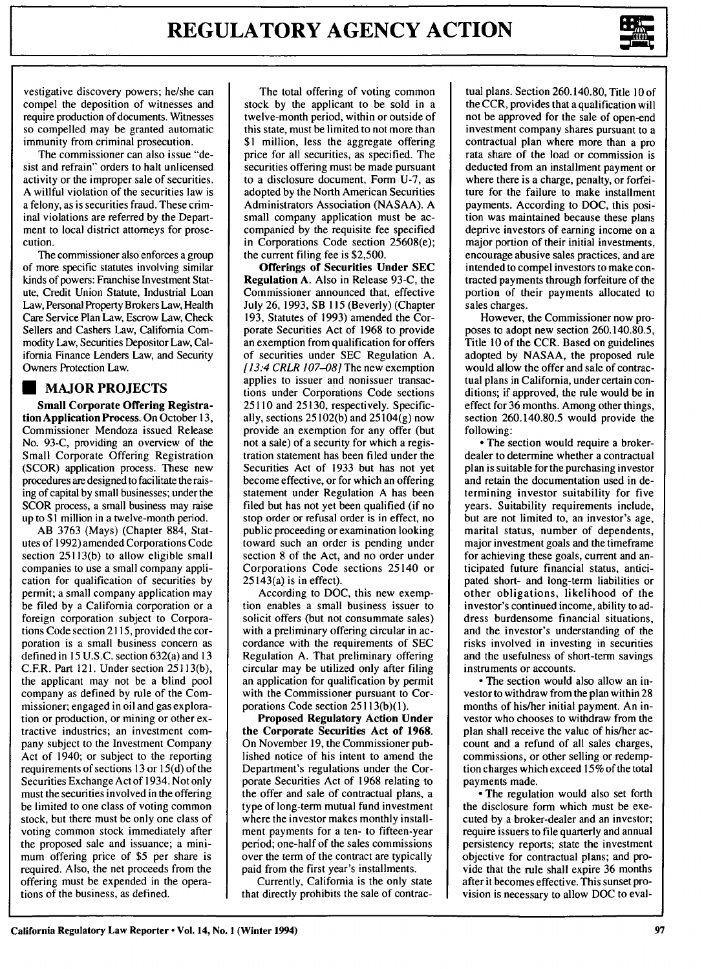

vestigative discovery powers; he/she can compel the deposition of witnesses and require production of documents. Witnesses so compelled may be granted automatic immunity from criminal prosecution.

The commissioner can also issue "desist and refrain" orders to halt unlicensed activity or the improper sale of securities. A willful violation of the securities law is a felony, as is securities fraud. These criminal violations are referred by the Department to local district attorneys for prosecution.

The commissioner also enforces a group of more specific statutes involving similar kinds of powers: Franchise Investment Statute, Credit Union Statute, Industrial Loan Law, Personal Property Brokers Law, Health Care Service Plan Law, Escrow Law, Check Sellers and Cashers Law, California Commodity Law, Securities Depositor Law, California Finance Lenders Law, and Security Owners Protection Law.

## **\* MAJOR PROJECTS**

**Small Corporate Offering Registration Application Process. On October 13,** Commissioner Mendoza issued Release No. **93-C,** providing an overview of the Small Corporate Offering Registration (SCOR) application process. These new procedures are designed to facilitate the raising of capital **by** small businesses; under the SCOR process, a small business may raise up to **\$1** million in a twelve-month period.

AB **3763** (Mays) (Chapter **884,** Statutes of **1992)** amended Corporations Code section **25113(b)** to allow eligible small companies to use a small company application for qualification of securities **by** permit; a small company application may be filed **by** a California corporation or a foreign corporation subject to Corporations Code section **2115,** provided the corporation is a small business concern as defined in **15 U.S.C.** section 632(a) and **13** C.F.R. Part 121. Under section 25113(b), the applicant may not be a blind pool company as defined **by** role of the Commissioner; engaged in oil and gas exploration or production, or mining or other extractive industries; an investment company subject to the Investment Company Act of 1940; or subject to the reporting requirements of sections **13** or **15(d)** of the Securities Exchange Act **of** 1934. Not only must the securities involved in the offering be limited to one class of voting common stock, but there must be only one class of voting common stock immediately after the proposed sale and issuance; a minimum offering price of **\$5** per share is required. Also, the net proceeds from the offering must be expended in the operations of the business, as defined.

The total offering of voting common stock **by** the applicant to be sold in a twelve-month period, within or outside of this state, must be limited to not more than \$1 million, less the aggregate offering price for all securities, as specified. The securities offering must be made pursuant to a disclosure document, Form U-7, as adopted by the North American Securities Administrators Association (NASAA). A small company application must be accompanied by the requisite fee specified in Corporations Code section 25608(e); the current filing fee is \$2,500.

**Offerings of Securities Under SEC Regulation A. Also in Release 93-C, the** Commissioner announced that, effective July 26, 1993, SB 115 (Beverly) (Chapter 193, Statutes of 1993) amended the Corporate Securities Act of 1968 to provide an exemption from qualification for offers of securities under SEC Regulation A. *[13:4* CRLR *107-08]* The new exemption applies to issuer and nonissuer transactions under Corporations Code sections 25110 and 25130, respectively. Specifically, sections 25102(b) and 25104(g) now provide an exemption for any offer (but not a sale) of a security for which a registration statement has been filed under the Securities Act of 1933 but has not yet become effective, or for which an offering statement under Regulation A has been filed but has not yet been qualified (if no stop order or refusal order is in effect, no public proceeding or examination looking toward such an order is pending under section 8 of the Act, and no order under Corporations Code sections 25140 or  $25143(a)$  is in effect).

According to DOC, this new exemption enables a small business issuer to solicit offers (but not consummate sales) with a preliminary offering circular in accordance with the requirements of SEC Regulation A. That preliminary offering circular may be utilized only after filing an application for qualification by permit with the Commissioner pursuant to Corporations Code section **251** 13(b)(l).

**Proposed Regulatory Action Under the Corporate Securities Act of 1968.** On November **19,** the Commissioner published notice of his intent to amend the Department's regulations under the Corporate Securities Act of **1968** relating to the offer and sale of contractual plans, a type of long-term mutual fund investment where the investor makes monthly installment payments for a ten- to fifteen-year period; one-half of the sales commissions over the term of the contract are typically paid from the first year's installments.

Currently, California is the only state that directly prohibits the sale of contractual plans. Section 260.140.80, Title 10 of the CCR, provides that a qualification will not be approved for the sale of open-end investment company shares pursuant to a contractual plan where more than a pro rata share of the load or commission is deducted from an installment payment or where there is a charge, penalty, or forfeiture for the failure to make installment payments. According to DOC, this position was maintained because these plans deprive investors of earning income on a major portion of their initial investments, encourage abusive sales practices, and are intended to compel investors to make contracted payments through forfeiture of the portion of their payments allocated to sales charges.

However, the Commissioner now proposes to adopt new section 260.140.80.5, Title 10 of the CCR. Based on guidelines adopted by NASAA, the proposed rule would allow the offer and sale of contractual plans in California, under certain conditions; if approved, the rule would be in effect for 36 months. Among other things, section 260.140.80.5 would provide the following:

**-** The section would require a brokerdealer to determine whether a contractual plan is suitable for the purchasing investor and retain the documentation used in determining investor suitability for five years. Suitability requirements include, but are not limited to, an investor's age, marital status, number of dependents, major investment goals and the timeframe for achieving these goals, current and anticipated future financial status, anticipated short- and long-term liabilities or other obligations, likelihood of the investor's continued income, ability to address burdensome financial situations, and the investor's understanding of the risks involved in investing in securities and the usefulness of short-term savings instruments or accounts.

**-** The section would also allow an investor to withdraw from the plan within 28 months of his/her initial payment. An investor who chooses to withdraw from the plan shall receive the value of his/her account and a refund of all sales charges, commissions, or other selling or redemption charges which exceed 15% of the total payments made.

**-** The regulation would also set forth the disclosure form which must be executed by a broker-dealer and an investor; require issuers to file quarterly and annual persistency reports; state the investment objective for contractual plans; and provide that the rule shall expire 36 months after it becomes effective. This sunset provision is necessary to allow DOC to eval-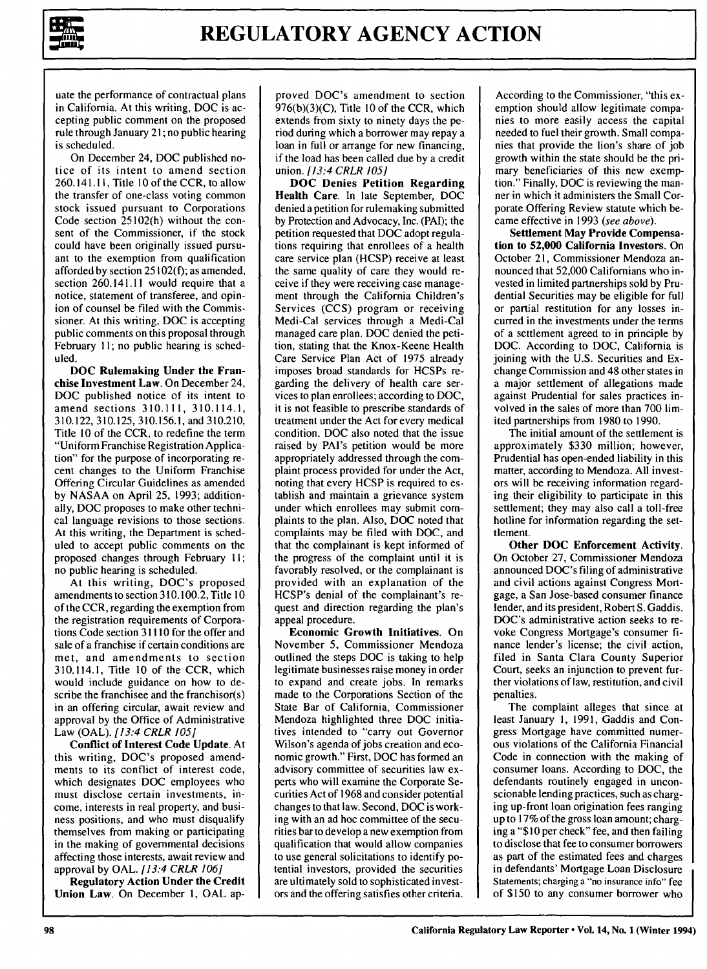

uate the performance of contractual plans in California. At this writing, DOC is accepting public comment on the proposed rule through January 21; no public hearing is scheduled.

On December 24, DOC published notice of its intent to amend section 260.141.1 **,** Title **10** of the CCR, to allow the transfer of one-class voting common stock issued pursuant to Corporations Code section 25102(h) without the consent of the Commissioner, if the stock could have been originally issued pursuant to the exemption from qualification afforded by section  $25102(f)$ ; as amended, section 260.141.11 would require that a notice, statement of transferee, and opinion of counsel be filed with the Commissioner. At this writing, DOC is accepting public comments on this proposal through February **11;** no public hearing is scheduled.

**DOC Rulemaking Under the** Franchise Investment Law. On December 24, DOC published notice of its intent to amend sections 310.111, 310.114.1, 310.122, 310.125, 310.156.1, and 310.210, Title 10 of the CCR, to redefine the term "Uniform Franchise Registration Application" for the purpose of incorporating recent changes to the Uniform Franchise Offering Circular Guidelines as amended by NASAA on April 25, 1993; additionally, DOC proposes to make other technical language revisions to those sections. At this writing, the Department is scheduled to accept public comments on the proposed changes through February **11;** no public hearing is scheduled.

At this writing, DOC's proposed amendments to section 310.100.2, Title 10 of the CCR, regarding the exemption from the registration requirements of Corporations Code section 31110 for the offer and sale of a franchise if certain conditions are met, and amendments to section 310.114.1, Title 10 of the CCR, which would include guidance on how to describe the franchisee and the franchisor(s) in an offering circular, await review and approval by the Office of Administrative Law (OAL). *[13:4 CRLR 105]*

Conflict of Interest Code Update. At this writing, DOC's proposed amendments to its conflict of interest code, which designates DOC employees who must disclose certain investments, income, interests in real property, and business positions, and who must disqualify themselves from making or participating in the making of governmental decisions affecting those interests, await review and approval by OAL. *[13:4 CRLR 106]*

**Regulatory Action Under the Credit** Union Law. On December **1, OAL** ap-

proved DOC's amendment to section  $976(b)(3)(C)$ , Title 10 of the CCR, which extends from sixty to ninety days the period during which a borrower may repay a loan in full or arrange for new financing, if the load has been called due by a credit union. *[13:4 CRLR 105]*

**DOC Denies Petition Regarding** Health Care. In late September, **DOC** denied a petition for rulemaking submitted by Protection and Advocacy, Inc. (PAI); the petition requested that DOC adopt regulations requiring that enrollees of a health care service plan (HCSP) receive at least the same quality of care they would receive if they were receiving case management through the California Children's Services (CCS) program or receiving Medi-Cal services through a Medi-Cal managed care plan. DOC denied the petition, stating that the Knox-Keene Health Care Service Plan Act of 1975 already imposes broad standards for HCSPs regarding the delivery of health care services to plan enrollees; according to DOC, it is not feasible to prescribe standards of treatment under the Act for every medical condition. DOC also noted that the issue raised by PAl's petition would be more appropriately addressed through the complaint process provided for under the Act, noting that every HCSP is required to establish and maintain a grievance system under which enrollees may submit complaints to the plan. Also, DOC noted that complaints may be filed with DOC, and that the complainant is kept informed of the progress of the complaint until it is favorably resolved, or the complainant is provided with an explanation of the HCSP's denial of the complainant's request and direction regarding the plan's appeal procedure.

**Economic Growth Initiatives. On** November 5, Commissioner Mendoza outlined the steps DOC is taking to help legitimate businesses raise money in order to expand and create jobs. In remarks made to the Corporations Section of the State Bar of California, Commissioner Mendoza highlighted three DOC initiatives intended to "carry out Governor Wilson's agenda of jobs creation and economic growth." First, DOC has formed an advisory committee of securities law experts who will examine the Corporate Securities Act of 1968 and consider potential changes to that law. Second, DOC is working with an ad hoc committee of the securities bar to develop a new exemption from qualification that would allow companies to use general solicitations to identify potential investors, provided the securities are ultimately sold to sophisticated investors and the offering satisfies other criteria. According to the Commissioner, "this exemption should allow legitimate companies to more easily access the capital needed to fuel their growth. Small companies that provide the lion's share of job growth within the state should be the primary beneficiaries of this new exemption." Finally, DOC is reviewing the manner in which it administers the Small Corporate Offering Review statute which became effective in 1993 (see above).

**Settlement May Provide Compensation to 52,000 California Investors. On** October 21, Commissioner Mendoza announced that **52,000** Californians who invested in limited partnerships sold **by** Prudential Securities may be eligible for full or partial restitution for any losses incurred in the investments under the terms of a settlement agreed to in principle by DOC. According to DOC, California is joining with the U.S. Securities and Exchange Commission and 48 other states in a major settlement of allegations made against Prudential for sales practices involved in the sales of more than 700 limited partnerships from 1980 to 1990.

The initial amount of the settlement is approximately \$330 million; however, Prudential has open-ended liability in this matter, according to Mendoza. All investors will be receiving information regarding their eligibility to participate in this settlement; they may also call a toll-free hotline for information regarding the settlement.

**Other DOC Enforcement Activity.** On October 27, Commissioner Mendoza announced DOC's filing of administrative and civil actions against Congress Mortgage, a San Jose-based consumer finance lender, and its president, Robert S. Gaddis. DOC's administrative action seeks to revoke Congress Mortgage's consumer finance lender's license; the civil action, filed in Santa Clara County Superior Court, seeks an injunction to prevent further violations of law, restitution, and civil penalties.

The complaint alleges that since at least January 1, 1991, Gaddis and Congress Mortgage have committed numerous violations of the California Financial Code in connection with the making of consumer loans. According to DOC, the defendants routinely engaged in unconscionable lending practices, such as charging up-front loan origination fees ranging up to 17% of the gross loan amount; charging a "\$ **10** per check" fee, and then failing to disclose that fee to consumer borrowers as part of the estimated fees and charges in defendants' Mortgage Loan Disclosure Statements; charging a "no insurance info" fee of \$150 to any consumer borrower who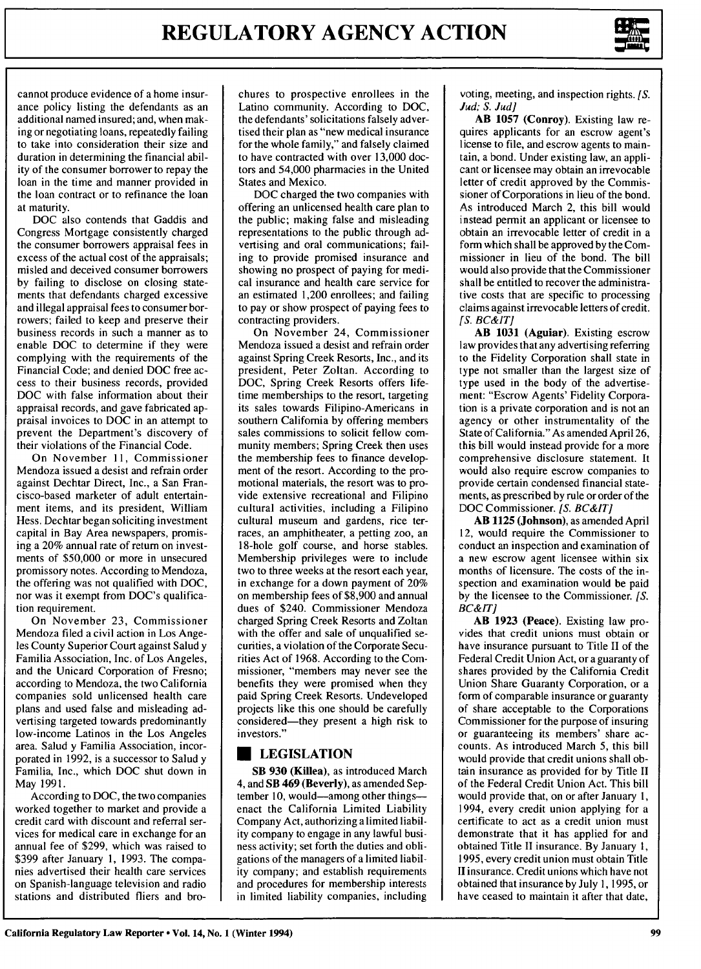

cannot produce evidence of a home insurance policy listing the defendants as an additional named insured; and, when making or negotiating loans, repeatedly failing to take into consideration their size and duration in determining the financial ability of the consumer borrower to repay the loan in the time and manner provided in the loan contract or to refinance the loan at maturity.

**DOC** also contends that Gaddis and Congress Mortgage consistently charged the consumer borrowers appraisal fees in excess of the actual cost of the appraisals; misled and deceived consumer borrowers by failing to disclose on closing statements that defendants charged excessive and illegal appraisal fees to consumer borrowers; failed to keep and preserve their business records in such a manner as to enable **DOC** to determine if they were complying with the requirements of the Financial Code; and denied **DOC** free access to their business records, provided **DOC** with false information about their appraisal records, and gave fabricated appraisal invoices to **DOC** in an attempt to prevent the Department's discovery of their violations of the Financial Code.

On November **11,** Commissioner Mendoza issued a desist and refrain order against Dechtar Direct, Inc., a San Francisco-based marketer of adult entertainment items, and its president, William Hess. Dechtar began soliciting investment capital in Bay Area newspapers, promising a 20% annual rate of return on investments of \$50,000 or more in unsecured promissory notes. According to Mendoza, the offering was not qualified with DOC, nor was it exempt from DOC's qualification requirement.

On November 23, Commissioner Mendoza filed a civil action in Los Angeles County Superior Court against Salud y Familia Association, Inc. of Los Angeles, and the Unicard Corporation of Fresno; according to Mendoza, the two California companies sold unlicensed health care plans and used false and misleading advertising targeted towards predominantly low-income Latinos in the Los Angeles area. Salud y Familia Association, incorporated in 1992, is a successor to Salud y Familia, Inc., which **DOC** shut down in May 1991.

According to DOC, the two companies worked together to market and provide a credit card with discount and referral services for medical care in exchange for an annual fee of \$299, which was raised to \$399 after January 1, 1993. The companies advertised their health care services on Spanish-language television and radio stations and distributed fliers and brochures to prospective enrollees in the Latino community. According to DOC, the defendants' solicitations falsely advertised their plan as "new medical insurance for the whole family," and falsely claimed to have contracted with over 13,000 doctors and 54,000 pharmacies in the United States and Mexico.

**DOC** charged the two companies with offering an unlicensed health care plan to the public; making false and misleading representations to the public through advertising and oral communications; failing to provide promised insurance and showing no prospect of paying for medical insurance and health care service for an estimated 1,200 enrollees; and failing to pay or show prospect of paying fees to contracting providers.

On November 24, Commissioner Mendoza issued a desist and refrain order against Spring Creek Resorts, Inc., and its president, Peter Zoltan. According to **DOC,** Spring Creek Resorts offers lifetime memberships to the resort, targeting its sales towards Filipino-Americans in southern California by offering members sales commissions to solicit fellow community members; Spring Creek then uses the membership fees to finance development of the resort. According to the promotional materials, the resort was to provide extensive recreational and Filipino cultural activities, including a Filipino cultural museum and gardens, rice terraces, an amphitheater, a petting zoo, an 18-hole golf course, and horse stables. Membership privileges were to include two to three weeks at the resort each year, in exchange for a down payment of 20% on membership fees of \$8,900 and annual dues of \$240. Commissioner Mendoza charged Spring Creek Resorts and Zoltan with the offer and sale of unqualified securities, a violation of the Corporate Securities Act of 1968. According to the Commissioner, "members may never see the benefits they were promised when they paid Spring Creek Resorts. Undeveloped projects like this one should be carefully considered-they present a high risk to investors."

### **EXECUSTATION**

SB **930** (Killea), as introduced March 4, and SB 469 (Beverly), as amended September 10, would-among other things--enact the California Limited Liability Company Act, authorizing a limited liability company to engage in any lawful business activity; set forth the duties and obligations of the managers of a limited liability company; and establish requirements and procedures for membership interests in limited liability companies, including

voting, meeting, and inspection rights. *[S. Jud; S. Jud]*

AB **1057** (Conroy). Existing law requires applicants for an escrow agent's license to file, and escrow agents to maintain, a bond. Under existing law, an applicant or licensee may obtain an irrevocable letter of credit approved by the Commissioner of Corporations in lieu of the bond. As introduced March 2, this bill would instead permit an applicant or licensee to obtain an irrevocable letter of credit in a form which shall be approved by the Commissioner in lieu of the bond. The bill would also provide that the Commissioner shall be entitled to recover the administrative costs that are specific to processing claims against irrevocable letters of credit. *[S. BC&ITJ*

AB **1031** (Aguiar). Existing escrow law provides that any advertising referring to the Fidelity Corporation shall state in type not smaller than the largest size of type used in the body of the advertisement: "Escrow Agents' Fidelity Corporation is a private corporation and is not an agency or other instrumentality of the State of California." As amended April 26, this bill would instead provide for a more comprehensive disclosure statement. It would also require escrow companies to provide certain condensed financial statements, as prescribed by rule or order of the **DOC** Commissioner. *[S. BC&IT]*

AB **1125** (Johnson), as amended April 12, would require the Commissioner to conduct an inspection and examination of a new escrow agent licensee within six months of licensure. The costs of the inspection and examination would be paid by the licensee to the Commissioner. [S. *BC&IT]*

**AB 1923 (Peace).** Existing law provides that credit unions must obtain or have insurance pursuant to Title II of the Federal Credit Union Act, or a guaranty of shares provided **by** the California Credit Union Share Guaranty Corporation, or a form of comparable insurance or guaranty of share acceptable to the Corporations Commissioner for the purpose of insuring or guaranteeing its members' share accounts. As introduced March 5, this bill would provide that credit unions shall obtain insurance as provided for **by** Title **II** of the Federal Credit Union Act. This bill would provide that, on or after January **1,** 1994, every credit union applying for a certificate to act as a credit union must demonstrate that it has applied for and obtained Title II insurance. By January **1,** 1995, every credit union must obtain Title II insurance. Credit unions which have not obtained that insurance by July 1, 1995, or have ceased to maintain it after that date,